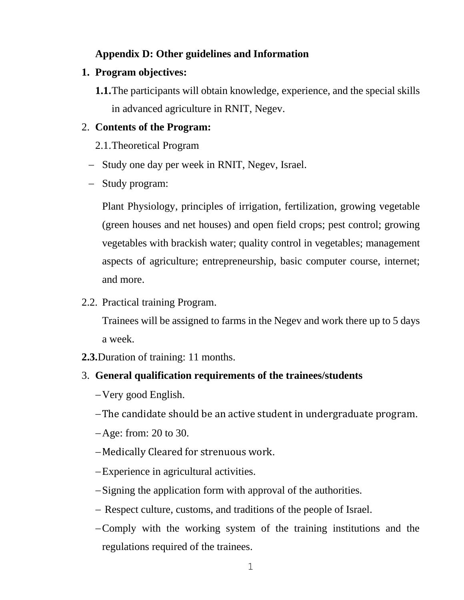## **Appendix D: Other guidelines and Information**

## **1. Program objectives:**

**1.1.**The participants will obtain knowledge, experience, and the special skills in advanced agriculture in RNIT, Negev.

## 2. **Contents of the Program:**

- 2.1.Theoretical Program
- − Study one day per week in RNIT, Negev, Israel.
- − Study program:

Plant Physiology, principles of irrigation, fertilization, growing vegetable (green houses and net houses) and open field crops; pest control; growing vegetables with brackish water; quality control in vegetables; management aspects of agriculture; entrepreneurship, basic computer course, internet; and more.

2.2. Practical training Program.

Trainees will be assigned to farms in the Negev and work there up to 5 days a week.

- **2.3.**Duration of training: 11 months.
- 3. **General qualification requirements of the trainees/students**
	- −Very good English.
	- −The candidate should be an active student in undergraduate program.
	- −Age: from: 20 to 30.
	- −Medically Cleared for strenuous work.
	- −Experience in agricultural activities.
	- −Signing the application form with approval of the authorities.
	- − Respect culture, customs, and traditions of the people of Israel.
	- −Comply with the working system of the training institutions and the regulations required of the trainees.